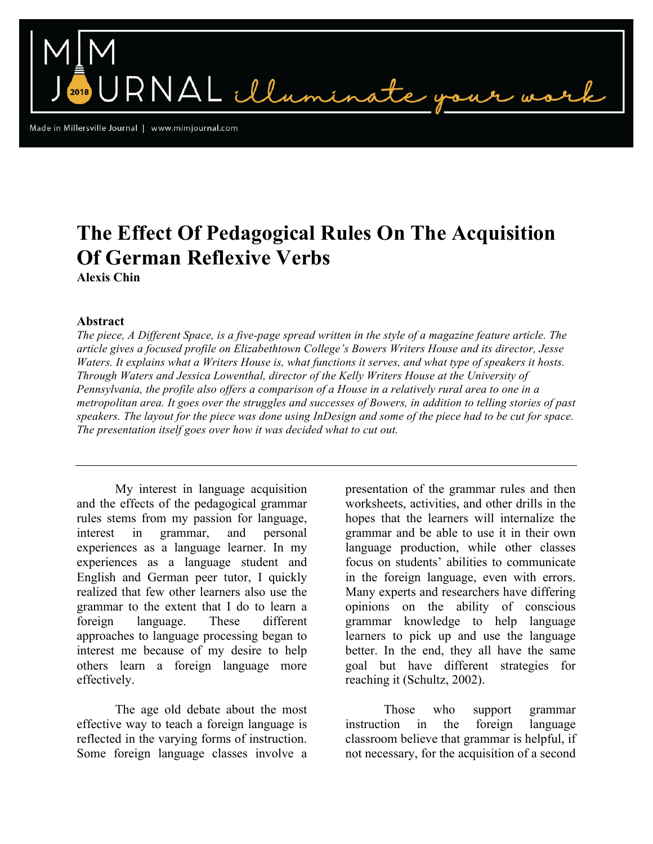RNAL illumin

Made in Millersville Journal | www.mimjournal.com

## **The Effect Of Pedagogical Rules On The Acquisition Of German Reflexive Verbs**

**Alexis Chin**

## **Abstract**

*The piece, A Different Space, is a five-page spread written in the style of a magazine feature article. The article gives a focused profile on Elizabethtown College's Bowers Writers House and its director, Jesse Waters. It explains what a Writers House is, what functions it serves, and what type of speakers it hosts. Through Waters and Jessica Lowenthal, director of the Kelly Writers House at the University of Pennsylvania, the profile also offers a comparison of a House in a relatively rural area to one in a metropolitan area. It goes over the struggles and successes of Bowers, in addition to telling stories of past speakers. The layout for the piece was done using InDesign and some of the piece had to be cut for space. The presentation itself goes over how it was decided what to cut out.*

My interest in language acquisition and the effects of the pedagogical grammar rules stems from my passion for language, interest in grammar, and personal experiences as a language learner. In my experiences as a language student and English and German peer tutor, I quickly realized that few other learners also use the grammar to the extent that I do to learn a foreign language. These different approaches to language processing began to interest me because of my desire to help others learn a foreign language more effectively.

The age old debate about the most effective way to teach a foreign language is reflected in the varying forms of instruction. Some foreign language classes involve a presentation of the grammar rules and then worksheets, activities, and other drills in the hopes that the learners will internalize the grammar and be able to use it in their own language production, while other classes focus on students' abilities to communicate in the foreign language, even with errors. Many experts and researchers have differing opinions on the ability of conscious grammar knowledge to help language learners to pick up and use the language better. In the end, they all have the same goal but have different strategies for reaching it (Schultz, 2002).

Those who support grammar instruction in the foreign language classroom believe that grammar is helpful, if not necessary, for the acquisition of a second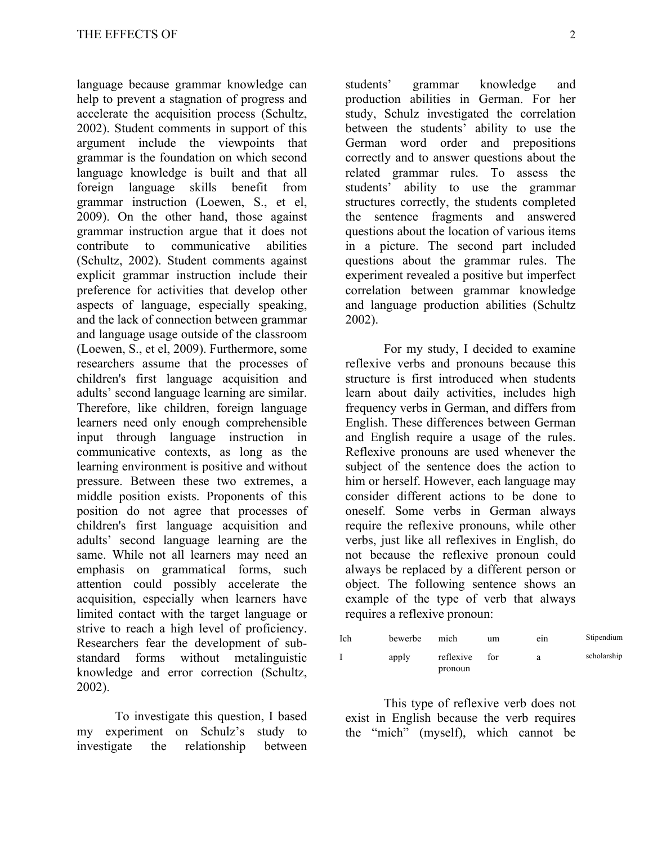language because grammar knowledge can help to prevent a stagnation of progress and accelerate the acquisition process (Schultz, 2002). Student comments in support of this argument include the viewpoints that grammar is the foundation on which second language knowledge is built and that all foreign language skills benefit from grammar instruction (Loewen, S., et el, 2009). On the other hand, those against grammar instruction argue that it does not contribute to communicative abilities (Schultz, 2002). Student comments against explicit grammar instruction include their preference for activities that develop other aspects of language, especially speaking, and the lack of connection between grammar and language usage outside of the classroom (Loewen, S., et el, 2009). Furthermore, some researchers assume that the processes of children's first language acquisition and adults' second language learning are similar. Therefore, like children, foreign language learners need only enough comprehensible input through language instruction in communicative contexts, as long as the learning environment is positive and without pressure. Between these two extremes, a middle position exists. Proponents of this position do not agree that processes of children's first language acquisition and adults' second language learning are the same. While not all learners may need an emphasis on grammatical forms, such attention could possibly accelerate the acquisition, especially when learners have limited contact with the target language or strive to reach a high level of proficiency. Researchers fear the development of substandard forms without metalinguistic knowledge and error correction (Schultz, 2002).

To investigate this question, I based my experiment on Schulz's study to investigate the relationship between

students' grammar knowledge and production abilities in German. For her study, Schulz investigated the correlation between the students' ability to use the German word order and prepositions correctly and to answer questions about the related grammar rules. To assess the students' ability to use the grammar structures correctly, the students completed the sentence fragments and answered questions about the location of various items in a picture. The second part included questions about the grammar rules. The experiment revealed a positive but imperfect correlation between grammar knowledge and language production abilities (Schultz 2002).

For my study, I decided to examine reflexive verbs and pronouns because this structure is first introduced when students learn about daily activities, includes high frequency verbs in German, and differs from English. These differences between German and English require a usage of the rules. Reflexive pronouns are used whenever the subject of the sentence does the action to him or herself. However, each language may consider different actions to be done to oneself. Some verbs in German always require the reflexive pronouns, while other verbs, just like all reflexives in English, do not because the reflexive pronoun could always be replaced by a different person or object. The following sentence shows an example of the type of verb that always requires a reflexive pronoun:

| Ich | bewerbe | mich      | um  | ein | Stipendium  |
|-----|---------|-----------|-----|-----|-------------|
|     | apply   | reflexive | for | a   | scholarship |
|     |         | pronoun   |     |     |             |

This type of reflexive verb does not exist in English because the verb requires the "mich" (myself), which cannot be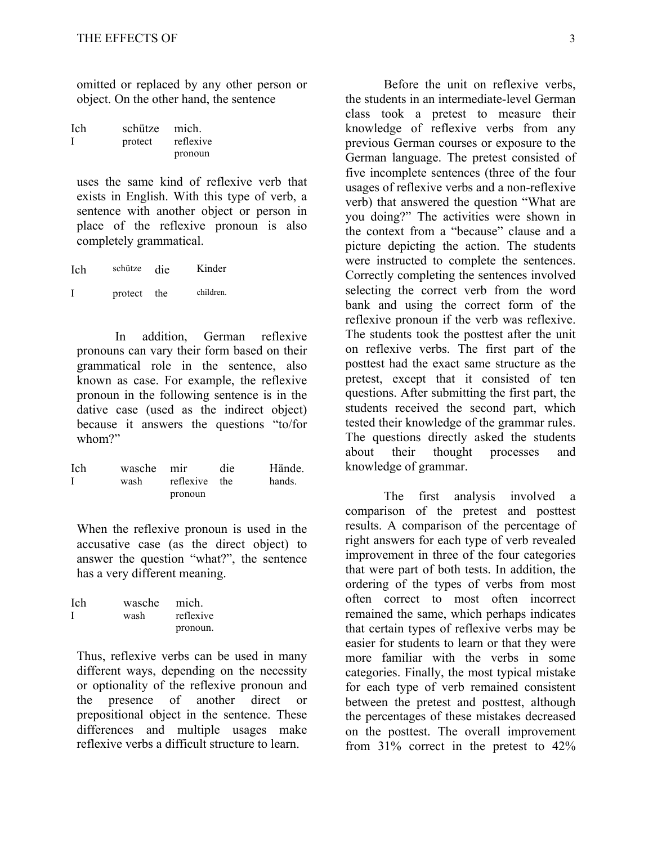omitted or replaced by any other person or object. On the other hand, the sentence

| Ich | schütze | mich.     |
|-----|---------|-----------|
|     | protect | reflexive |
|     |         | pronoun   |

uses the same kind of reflexive verb that exists in English. With this type of verb, a sentence with another object or person in place of the reflexive pronoun is also completely grammatical.

| Ich | schütze | die | Kinder    |
|-----|---------|-----|-----------|
| I   | protect | the | children. |

In addition, German reflexive pronouns can vary their form based on their grammatical role in the sentence, also known as case. For example, the reflexive pronoun in the following sentence is in the dative case (used as the indirect object) because it answers the questions "to/for whom?"

| Ich | wasche mir |               | die | Hände. |
|-----|------------|---------------|-----|--------|
|     | wash       | reflexive the |     | hands. |
|     |            | pronoun       |     |        |

When the reflexive pronoun is used in the accusative case (as the direct object) to answer the question "what?", the sentence has a very different meaning.

| Ich | wasche | mich.     |
|-----|--------|-----------|
|     | wash   | reflexive |
|     |        | pronoun.  |

Thus, reflexive verbs can be used in many different ways, depending on the necessity or optionality of the reflexive pronoun and the presence of another direct or prepositional object in the sentence. These differences and multiple usages make reflexive verbs a difficult structure to learn.

Before the unit on reflexive verbs, the students in an intermediate-level German class took a pretest to measure their knowledge of reflexive verbs from any previous German courses or exposure to the German language. The pretest consisted of five incomplete sentences (three of the four usages of reflexive verbs and a non-reflexive verb) that answered the question "What are you doing?" The activities were shown in the context from a "because" clause and a picture depicting the action. The students were instructed to complete the sentences. Correctly completing the sentences involved selecting the correct verb from the word bank and using the correct form of the reflexive pronoun if the verb was reflexive. The students took the posttest after the unit on reflexive verbs. The first part of the posttest had the exact same structure as the pretest, except that it consisted of ten questions. After submitting the first part, the students received the second part, which tested their knowledge of the grammar rules. The questions directly asked the students about their thought processes and knowledge of grammar.

The first analysis involved a comparison of the pretest and posttest results. A comparison of the percentage of right answers for each type of verb revealed improvement in three of the four categories that were part of both tests. In addition, the ordering of the types of verbs from most often correct to most often incorrect remained the same, which perhaps indicates that certain types of reflexive verbs may be easier for students to learn or that they were more familiar with the verbs in some categories. Finally, the most typical mistake for each type of verb remained consistent between the pretest and posttest, although the percentages of these mistakes decreased on the posttest. The overall improvement from 31% correct in the pretest to 42%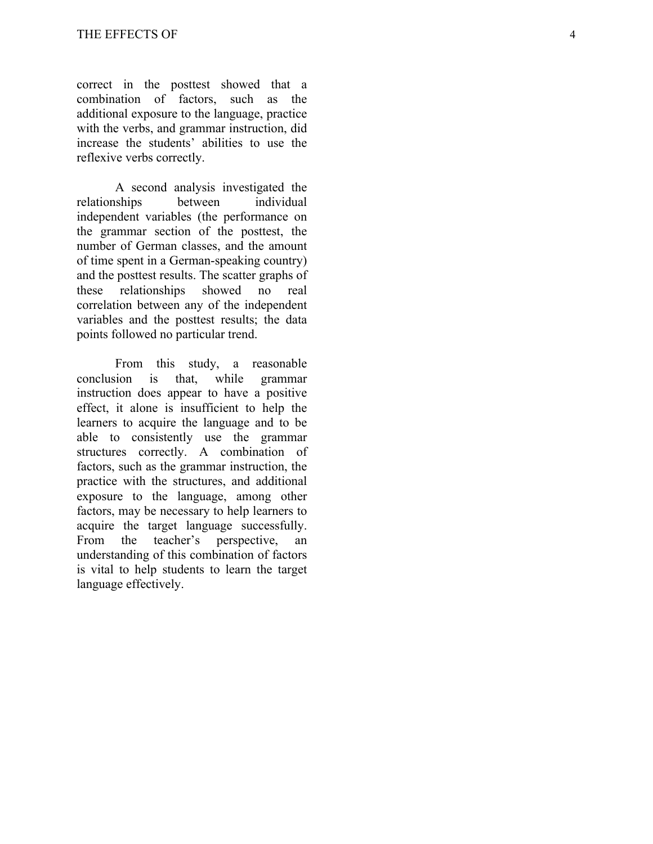correct in the posttest showed that a combination of factors, such as the additional exposure to the language, practice with the verbs, and grammar instruction, did increase the students' abilities to use the reflexive verbs correctly.

A second analysis investigated the relationships between individual independent variables (the performance on the grammar section of the posttest, the number of German classes, and the amount of time spent in a German -speaking country) and the posttest results. The scatter graphs of these relationships showed no real correlation between any of the independent variables and the posttest results; the data points followed no particular trend.

From this study, a reasonable conclusion is that, while grammar instruction does appear to have a positive effect, it alone is insufficient to help the learners to acquire the language and to be able to consistently use the grammar structures correctly. A combination of factors, such as the grammar instruction, the practice with the structures, and additional exposure to the language, among other factors, may be necessary to help learners to acquire the target language successfully. From the teacher's perspective, an understanding of this combination of factors is vital to help students to learn the target language effectively .